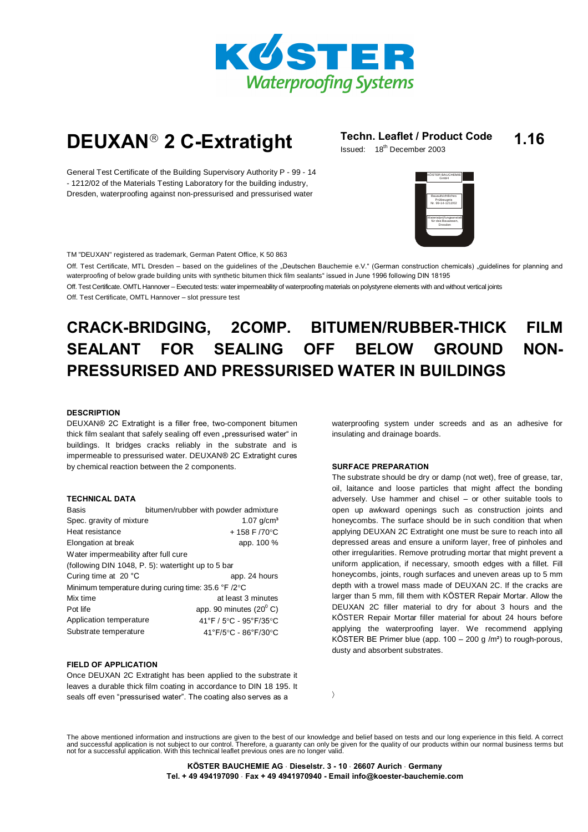

# **DEUXAN**<sup>®</sup> 2 C-Extratight **Issued: 18th December 2003**

# **1.16**

Issued: 18<sup>th</sup> December 2003

General Test Certificate of the Building Supervisory Authority P - 99 - 14 - 1212/02 of the Materials Testing Laboratory for the building industry, Dresden, waterproofing against non-pressurised and pressurised water



TM "DEUXAN" registered as trademark, German Patent Office, K 50 863

Off. Test Certificate, MTL Dresden – based on the quidelines of the "Deutschen Bauchemie e.V." (German construction chemicals) "quidelines for planning and waterproofing of below grade building units with synthetic bitumen thick film sealants" issued in June 1996 following DIN 18195

Off. Test Certificate. OMTL Hannover - Executed tests: water impermeability of waterproofing materials on polystyrene elements with and without vertical joints Off. Test Certificate, OMTL Hannover - slot pressure test

# **CRACK-BRIDGING, 2COMP. BITUMEN/RUBBER-THICK FILM SEALANT FOR SEALING OFF BELOW GROUND NON- PRESSURISED AND PRESSURISED WATER IN BUILDINGS**

# **DESCRIPTION**

DEUXAN® 2C Extratight is a filler free, two-component bitumen thick film sealant that safely sealing off even "pressurised water" in buildings. It bridges cracks reliably in the substrate and is impermeable to pressurised water. DEUXAN® 2C Extratight cures by chemical reaction between the 2 components.

### **TECHNICAL DATA**

| Basis                                                 | bitumen/rubber with powder admixture    |  |  |
|-------------------------------------------------------|-----------------------------------------|--|--|
| Spec. gravity of mixture                              | 1.07 $q/cm^{3}$                         |  |  |
| Heat resistance                                       | +158 F $/70^{\circ}$ C                  |  |  |
| Elongation at break                                   | app. 100 %                              |  |  |
| Water impermeability after full cure                  |                                         |  |  |
| (following DIN 1048, P. 5): watertight up to 5 bar    |                                         |  |  |
| Curing time at 20 °C                                  | app. 24 hours                           |  |  |
| Minimum temperature during curing time: 35.6 °F /2 °C |                                         |  |  |
| Mix time                                              | at least 3 minutes                      |  |  |
| Pot life                                              | app. 90 minutes $(20^{\circ} \text{C})$ |  |  |
| Application temperature                               | 41°F / 5°C - 95°F/35°C                  |  |  |
| Substrate temperature                                 | 41°F/5°C - 86°F/30°C                    |  |  |

# **FIELD OF APPLICATION**

Once DEUXAN 2C Extratight has been applied to the substrate it leaves a durable thick film coating in accordance to DIN 18 195. It seals off even "pressurised water". The coating also serves as a

waterproofing system under screeds and as an adhesive for insulating and drainage boards.

# **SURFACE PREPARATION**

The substrate should be dry or damp (not wet), free of grease, tar, oil, laitance and loose particles that might affect the bonding adversely. Use hammer and chisel  $-$  or other suitable tools to open up awkward openings such as construction joints and honeycombs. The surface should be in such condition that when applying DEUXAN 2C Extratight one must be sure to reach into all depressed areas and ensure a uniform layer, free of pinholes and other irregularities. Remove protruding mortar that might prevent a uniform application, if necessary, smooth edges with a fillet. Fill honeycombs, joints, rough surfaces and uneven areas up to 5 mm depth with a trowel mass made of DEUXAN 2C. If the cracks are larger than 5 mm, fill them with KÖSTER Repair Mortar. Allow the DEUXAN 2C filler material to dry for about 3 hours and the KÖSTER Repair Mortar filler material for about 24 hours before applying the waterproofing layer. We recommend applying KÖSTER BE Primer blue (app. 100  $-$  200 g /m<sup>2</sup>) to rough-porous, dusty and absorbent substrates.

The above mentioned information and instructions are given to the best of our knowledge and belief based on tests and our long experience in this field. A correct<br>and successful application is not subject to our control. T

 $\rightarrow$ 

**K÷STER BAUCHEMIE AG Dieselstr. 3 - 10 26607 Aurich Germany Tel. + 49 494197090 Fax + 49 4941970940 - Email [info@koester-bauchemie.com](mailto:info@koester-bauchemie.com)**